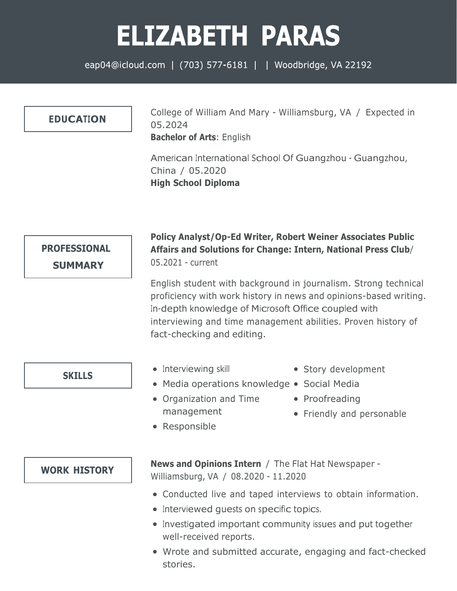## **ELIZABETH PARAS**

eap04@icloud.com | (703) 577-6181 | | Woodbridge, VA 22192

## **EDUCATION**

College of William And Mary - Williamsburg, VA / Expected in 05.2024 **Bachelor of Arts**: English

American International School Of Guangzhou - Guangzhou, China / 05.2020 **High School Diploma**



## **Policy Analyst/Op-Ed Writer, Robert Weiner Associates Public Affairs and Solutions for Change: Intern, National Press Club**/ 05.2021 - current

English student with background in journalism. Strong technical proficiency with work history in news and opinions-based writing. In-depth knowledge of Microsoft Office coupled with interviewing and time management abilities. Proven history of fact-checking and editing.

**SKILLS**

- Interviewing skill
- Media operations knowledge Social Media
- Organization and Time management
- Story development
- 
- Proofreading
- Friendly and personable

Responsible

**WORK HISTORY**

**News and Opinions Intern** / The Flat Hat Newspaper - Williamsburg, VA / 08.2020 - 11.2020

- Conducted live and taped interviews to obtain information.
- Interviewed quests on specific topics.
- Investigated important community issues and put together well-received reports.
- Wrote and submitted accurate, engaging and fact-checked stories.